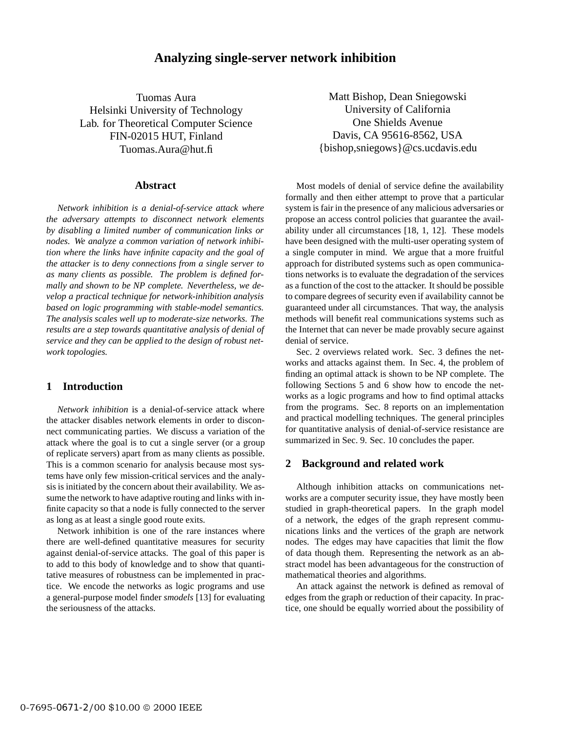# **Analyzing single-server network inhibition**

Tuomas Aura Helsinki University of Technology Lab. for Theoretical Computer Science FIN-02015 HUT, Finland Tuomas.Aura@hut.fi

## **Abstract**

*Network inhibition is a denial-of-service attack where the adversary attempts to disconnect network elements by disabling a limited number of communication links or nodes. We analyze a common variation of network inhibition where the links have infinite capacity and the goal of the attacker is to deny connections from a single server to as many clients as possible. The problem is defined formally and shown to be NP complete. Nevertheless, we develop a practical technique for network-inhibition analysis based on logic programming with stable-model semantics. The analysis scales well up to moderate-size networks. The results are a step towards quantitative analysis of denial of service and they can be applied to the design of robust network topologies.*

# **1 Introduction**

*Network inhibition* is a denial-of-service attack where the attacker disables network elements in order to disconnect communicating parties. We discuss a variation of the attack where the goal is to cut a single server (or a group of replicate servers) apart from as many clients as possible. This is a common scenario for analysis because most systems have only few mission-critical services and the analysis is initiated by the concern about their availability. We assume the network to have adaptive routing and links with infinite capacity so that a node is fully connected to the server as long as at least a single good route exits.

Network inhibition is one of the rare instances where there are well-defined quantitative measures for security against denial-of-service attacks. The goal of this paper is to add to this body of knowledge and to show that quantitative measures of robustness can be implemented in practice. We encode the networks as logic programs and use a general-purpose model finder *smodels* [13] for evaluating the seriousness of the attacks.

Matt Bishop, Dean Sniegowski University of California One Shields Avenue Davis, CA 95616-8562, USA {bishop,sniegows}@cs.ucdavis.edu

Most models of denial of service define the availability formally and then either attempt to prove that a particular system is fair in the presence of any malicious adversaries or propose an access control policies that guarantee the availability under all circumstances [18, 1, 12]. These models have been designed with the multi-user operating system of a single computer in mind. We argue that a more fruitful approach for distributed systems such as open communications networks is to evaluate the degradation of the services as a function of the cost to the attacker. It should be possible to compare degrees of security even if availability cannot be guaranteed under all circumstances. That way, the analysis methods will benefit real communications systems such as the Internet that can never be made provably secure against denial of service.

Sec. 2 overviews related work. Sec. 3 defines the networks and attacks against them. In Sec. 4, the problem of finding an optimal attack is shown to be NP complete. The following Sections 5 and 6 show how to encode the networks as a logic programs and how to find optimal attacks from the programs. Sec. 8 reports on an implementation and practical modelling techniques. The general principles for quantitative analysis of denial-of-service resistance are summarized in Sec. 9. Sec. 10 concludes the paper.

## **2 Background and related work**

Although inhibition attacks on communications networks are a computer security issue, they have mostly been studied in graph-theoretical papers. In the graph model of a network, the edges of the graph represent communications links and the vertices of the graph are network nodes. The edges may have capacities that limit the flow of data though them. Representing the network as an abstract model has been advantageous for the construction of mathematical theories and algorithms.

An attack against the network is defined as removal of edges from the graph or reduction of their capacity. In practice, one should be equally worried about the possibility of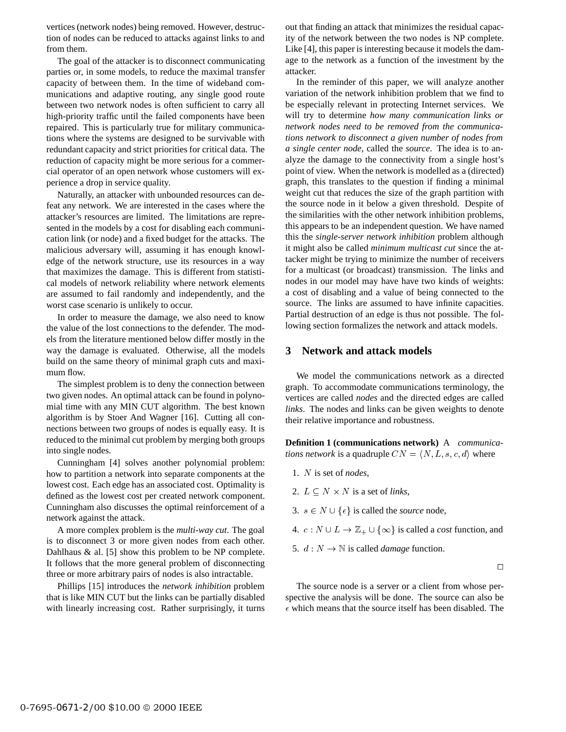vertices (network nodes) being removed. However, destruction of nodes can be reduced to attacks against links to and from them.

The goal of the attacker is to disconnect communicating parties or, in some models, to reduce the maximal transfer capacity of between them. In the time of wideband communications and adaptive routing, any single good route between two network nodes is often sufficient to carry all high-priority traffic until the failed components have been repaired. This is particularly true for military communications where the systems are designed to be survivable with redundant capacity and strict priorities for critical data. The reduction of capacity might be more serious for a commercial operator of an open network whose customers will experience a drop in service quality.

Naturally, an attacker with unbounded resources can defeat any network. We are interested in the cases where the attacker's resources are limited. The limitations are represented in the models by a cost for disabling each communication link (or node) and a fixed budget for the attacks. The malicious adversary will, assuming it has enough knowledge of the network structure, use its resources in a way that maximizes the damage. This is different from statistical models of network reliability where network elements are assumed to fail randomly and independently, and the worst case scenario is unlikely to occur.

In order to measure the damage, we also need to know the value of the lost connections to the defender. The models from the literature mentioned below differ mostly in the way the damage is evaluated. Otherwise, all the models build on the same theory of minimal graph cuts and maximum flow.

The simplest problem is to deny the connection between two given nodes. An optimal attack can be found in polynomial time with any MIN CUT algorithm. The best known algorithm is by Stoer And Wagner [16]. Cutting all connections between two groups of nodes is equally easy. It is reduced to the minimal cut problem by merging both groups into single nodes.

Cunningham [4] solves another polynomial problem: how to partition a network into separate components at the lowest cost. Each edge has an associated cost. Optimality is defined as the lowest cost per created network component. Cunningham also discusses the optimal reinforcement of a network against the attack.

A more complex problem is the *multi-way cut*. The goal is to disconnect 3 or more given nodes from each other. Dahlhaus  $\&$  al. [5] show this problem to be NP complete. It follows that the more general problem of disconnecting three or more arbitrary pairs of nodes is also intractable.

Phillips [15] introduces the *network inhibition* problem that is like MIN CUT but the links can be partially disabled with linearly increasing cost. Rather surprisingly, it turns out that finding an attack that minimizes the residual capacity of the network between the two nodes is NP complete. Like [4], this paper is interesting because it models the damage to the network as a function of the investment by the attacker.

In the reminder of this paper, we will analyze another variation of the network inhibition problem that we find to be especially relevant in protecting Internet services. We will try to determine *how many communication links or network nodes need to be removed from the communications network to disconnect a given number of nodes from a single center node*, called the *source*. The idea is to analyze the damage to the connectivity from a single host's point of view. When the network is modelled as a (directed) graph, this translates to the question if finding a minimal weight cut that reduces the size of the graph partition with the source node in it below a given threshold. Despite of the similarities with the other network inhibition problems, this appears to be an independent question. We have named this the *single-server network inhibition* problem although it might also be called *minimum multicast cut* since the attacker might be trying to minimize the number of receivers for a multicast (or broadcast) transmission. The links and nodes in our model may have have two kinds of weights: a cost of disabling and a value of being connected to the source. The links are assumed to have infinite capacities. Partial destruction of an edge is thus not possible. The following section formalizes the network and attack models.

#### **3 Network and attack models**

We model the communications network as a directed graph. To accommodate communications terminology, the vertices are called *nodes* and the directed edges are called *links*. The nodes and links can be given weights to denote their relative importance and robustness.

**Definition 1 (communications network)** A *communications network* is a quadruple  $CN = \langle N, L, s, c, d \rangle$  where

- 1. N is set of *nodes*,
- 2.  $L \subseteq N \times N$  is a set of *links*,
- 3.  $s \in N \cup \{\epsilon\}$  is called the *source* node,
- 4.  $c: N \cup L \to \mathbb{Z}_+ \cup {\infty}$  is called a *cost* function, and
- 5.  $d : N \to \mathbb{N}$  is called *damage* function.

 $\Box$ 

The source node is a server or a client from whose perspective the analysis will be done. The source can also be  $\epsilon$  which means that the source itself has been disabled. The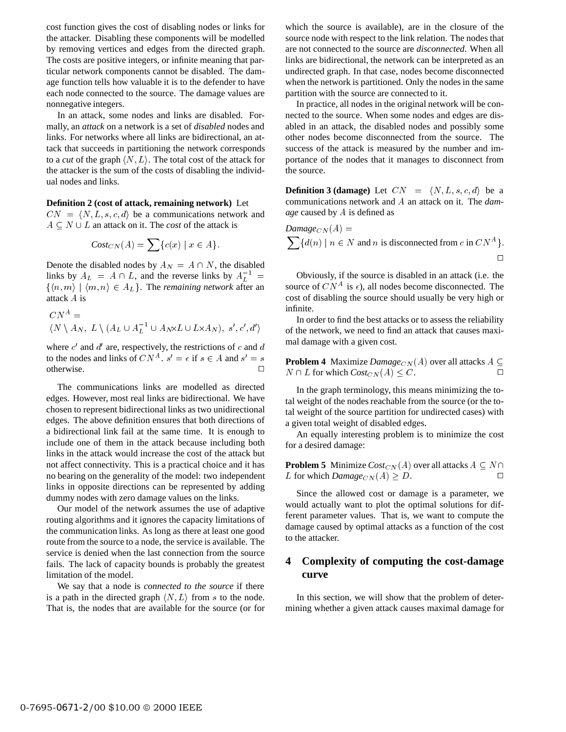cost function gives the cost of disabling nodes or links for the attacker. Disabling these components will be modelled by removing vertices and edges from the directed graph. The costs are positive integers, or infinite meaning that particular network components cannot be disabled. The damage function tells how valuable it is to the defender to have each node connected to the source. The damage values are nonnegative integers.

In an attack, some nodes and links are disabled. Formally, an *attack* on a network is a set of *disabled* nodes and links. For networks where all links are bidirectional, an attack that succeeds in partitioning the network corresponds to a *cut* of the graph  $\langle N, L \rangle$ . The total cost of the attack for the attacker is the sum of the costs of disabling the individual nodes and links.

#### **Definition 2 (cost of attack, remaining network)** Let

 $CN = \langle N, L, s, c, d \rangle$  be a communications network and  $A \subseteq N \cup L$  an attack on it. The *cost* of the attack is

$$
Cost_{CN}(A) = \sum \{c(x) \mid x \in A\}.
$$

Denote the disabled nodes by  $A_N = A \cap N$ , the disabled links by  $A_L = A \cap L$ , and the reverse links by  $A_L^{-1} =$  Obvid  $\{(n, m) \mid \langle m, n \rangle \in A_L\}$ . The *remaining network* after an attack A is

$$
CN^{A} =
$$
  
\n
$$
\langle N \setminus A_{N}, L \setminus (A_{L} \cup A_{L}^{-1} \cup A_{N} \times L \cup L \times A_{N}), s', c', d' \rangle
$$

where  $c'$  and  $d'$  are, respectively, the restrictions of c and  $d$ to the nodes and links of  $CN^A$ .  $s' = \epsilon$  if  $s \in A$  and  $s' = s$ otherwise.  $\Box$ 

The communications links are modelled as directed edges. However, most real links are bidirectional. We have chosen to represent bidirectional links as two unidirectional edges. The above definition ensures that both directions of a bidirectional link fail at the same time. It is enough to include one of them in the attack because including both links in the attack would increase the cost of the attack but not affect connectivity. This is a practical choice and it has no bearing on the generality of the model: two independent links in opposite directions can be represented by adding dummy nodes with zero damage values on the links.

Our model of the network assumes the use of adaptive routing algorithms and it ignores the capacity limitations of the communication links. As long as there at least one good route from the source to a node, the service is available. The service is denied when the last connection from the source fails. The lack of capacity bounds is probably the greatest limitation of the model.

We say that a node is *connected to the source* if there is a path in the directed graph  $\langle N, L \rangle$  from s to the node. That is, the nodes that are available for the source (or for which the source is available), are in the closure of the source node with respect to the link relation. The nodes that are not connected to the source are *disconnected*. When all links are bidirectional, the network can be interpreted as an undirected graph. In that case, nodes become disconnected when the network is partitioned. Only the nodes in the same partition with the source are connected to it.

In practice, all nodes in the original network will be connected to the source. When some nodes and edges are disabled in an attack, the disabled nodes and possibly some other nodes become disconnected from the source. The success of the attack is measured by the number and importance of the nodes that it manages to disconnect from the source.

**Definition 3 (damage)** Let  $CN = \langle N, L, s, c, d \rangle$  be a communications network and A an attack on it. The *damage* caused by A is defined as

$$
Damage_{CN}(A) =
$$
  
 
$$
\sum \{d(n) \mid n \in N \text{ and } n \text{ is disconnected from } c \text{ in } CN^A\}.
$$

Obviously, if the source is disabled in an attack (i.e. the source of  $CN^A$  is  $\epsilon$ ), all nodes become disconnected. The cost of disabling the source should usually be very high or infinite.

In order to find the best attacks or to assess the reliability of the network, we need to find an attack that causes maximal damage with a given cost.

 $=$ <sup>8</sup> **Problem 4** Maximize *Damage*<sub>CN</sub>(A) over all attacks  $A \subseteq$  $N \cap L$  for which  $Cost_{CN}(A) \leq C$ .

> In the graph terminology, this means minimizing the total weight of the nodes reachable from the source (or the total weight of the source partition for undirected cases) with a given total weight of disabled edges.

> An equally interesting problem is to minimize the cost for a desired damage:

> **Problem 5** Minimize  $Cost_{CN}(A)$  over all attacks  $A \subseteq N \cap$ L for which  $Damage_{CN}(A) \geq D$ .

> Since the allowed cost or damage is a parameter, we would actually want to plot the optimal solutions for different parameter values. That is, we want to compute the damage caused by optimal attacks as a function of the cost to the attacker.

# **4 Complexity of computing the cost-damage curve**

In this section, we will show that the problem of determining whether a given attack causes maximal damage for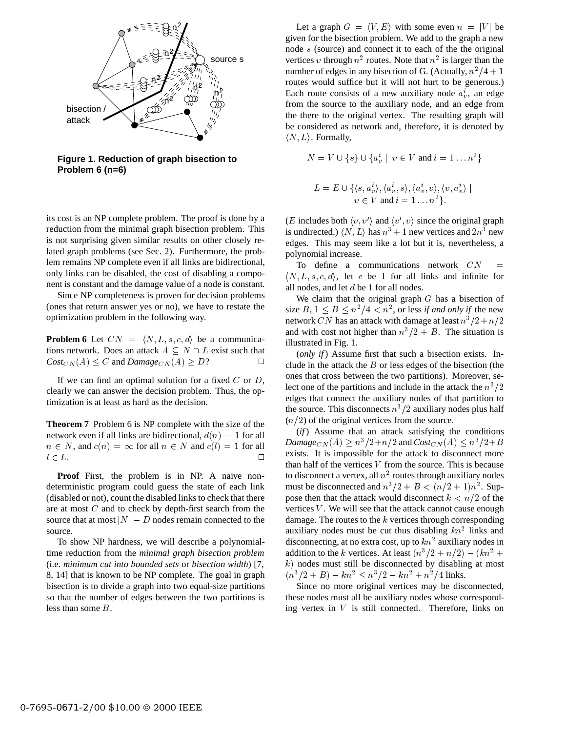

**Figure 1. Reduction of graph bisection to Problem 6 (n=6)**

its cost is an NP complete problem. The proof is done by a reduction from the minimal graph bisection problem. This is not surprising given similar results on other closely related graph problems (see Sec. 2). Furthermore, the problem remains NP complete even if all links are bidirectional, only links can be disabled, the cost of disabling a component is constant and the damage value of a node is constant.

Since NP completeness is proven for decision problems (ones that return answer yes or no), we have to restate the optimization problem in the following way.

**Problem 6** Let  $CN = \langle N, L, s, c, d \rangle$  be a communications network. Does an attack  $A \subseteq N \cap L$  exist such that  $Cost_{CN}(A) \leq C$  and  $Damage_{CN}(A) \geq D$ ?

If we can find an optimal solution for a fixed  $C$  or  $D$ , clearly we can answer the decision problem. Thus, the optimization is at least as hard as the decision.

**Theorem 7** Problem 6 is NP complete with the size of the network even if all links are bidirectional,  $d(n)=1$  for all  $n \in N$ , and  $c(n) = \infty$  for all  $n \in N$  and  $c(l) = 1$  for all  $l \in L$ .

**Proof** First, the problem is in NP. A naive nondeterministic program could guess the state of each link (disabled or not), count the disabled links to check that there are at most <sup>C</sup> and to check by depth-first search from the source that at most  $|N| - D$  nodes remain connected to the source.

To show NP hardness, we will describe a polynomialtime reduction from the *minimal graph bisection problem* (i.e. *minimum cut into bounded sets* or *bisection width*) [7, 8, 14] that is known to be NP complete. The goal in graph bisection is to divide a graph into two equal-size partitions so that the number of edges between the two partitions is less than some <sup>B</sup>.

Let a graph  $G = \langle V, E \rangle$  with some even  $n = |V|$  be given for the bisection problem. We add to the graph a new node <sup>s</sup> (source) and connect it to each of the the original vertices v through  $n^2$  routes. Note that  $n^2$  is larger than the number of edges in any bisection of G. (Actually,  $n^2/4+1$ routes would suffice but it will not hurt to be generous.) Each route consists of a new auxiliary node  $a_n^i$ , an edge from the source to the auxiliary node, and an edge from the there to the original vertex. The resulting graph will be considered as network and, therefore, it is denoted by  $\langle N, L \rangle$ . Formally,

$$
N = V \cup \{s\} \cup \{a_v^i \mid v \in V \text{ and } i = 1 \dots n^2\}
$$
  

$$
L = F \cup \{ (s, a^i) \mid (a^i, s) \mid (a^i, v) \mid (v, a^i) \mid (v, a^i) \mid (v, a^i) \mid (v, a^i) \mid (v, a^i) \mid (v, a^i) \mid (v, a^i) \mid (v, a^i) \mid (v, a^i) \mid (v, a^i) \mid (v, a^i) \mid (v, a^i) \mid (v, a^i) \mid (v, a^i) \mid (v, a^i) \mid (v, a^i) \mid (v, a^i) \mid (v, a^i) \mid (v, a^i) \mid (v, a^i) \mid (v, a^i) \mid (v, a^i) \mid (v, a^i) \mid (v, a^i) \mid (v, a^i) \mid (v, a^i) \mid (v, a^i) \mid (v, a^i) \mid (v, a^i) \mid (v, a^i) \mid (v, a^i) \mid (v, a^i) \mid (v, a^i) \mid (v, a^i) \mid (v, a^i) \mid (v, a^i) \mid (v, a^i) \mid (v, a^i) \mid (v, a^i) \mid (v, a^i) \mid (v, a^i) \mid (v, a^i) \mid (v, a^i) \mid (v, a^i) \mid (v, a^i) \mid (v, a^i) \mid (v, a^i) \mid (v, a^i) \mid (v, a^i) \mid (v, a^i) \mid (v, a^i) \mid (v, a^i) \mid (v, a^i) \mid (v, a^i) \mid (v, a^i) \mid (v, a^i) \mid (v, a^i) \mid (v, a^i) \mid (v, a^i) \mid (v, a^i) \mid (v, a^i) \mid (v, a^i) \mid (v, a^i) \mid (v, a^i) \mid (v, a^i) \mid (v, a^i) \mid (v, a^i) \mid (v, a^i) \mid (v, a^i) \mid (v, a^i) \mid (v, a^i) \mid (v, a^i) \mid (v, a^i) \mid (v, a^i) \mid (v, a^i) \mid (
$$

$$
L = E \cup \{ \langle s, a_v^* \rangle, \langle a_v^*, s \rangle, \langle a_v^*, v \rangle, \langle v, a_v^* \rangle \mid v \in V \text{ and } i = 1 \dots n^2 \}.
$$

(E includes both  $\langle v, v' \rangle$  and  $\langle v', v \rangle$  since the original graph is undirected.)  $\langle N, L \rangle$  has  $n^3 + 1$  new vertices and  $2n^3$  new edges. This may seem like a lot but it is, nevertheless, a polynomial increase.

To define a communications network  $CN$  $\langle N, L, s, c, d \rangle$ , let c be 1 for all links and infinite for all nodes, and let <sup>d</sup> be 1 for all nodes.

We claim that the original graph  $G$  has a bisection of size  $B, 1 \leq B \leq n^2/4 < n^2$ , or less *if and only if* the new network CN has an attack with damage at least  $n^3/2+n/2$ and with cost not higher than  $n^3/2 + B$ . The situation is illustrated in Fig. 1.

(*only if*) Assume first that such a bisection exists. Include in the attack the  $B$  or less edges of the bisection (the ones that cross between the two partitions). Moreover, select one of the partitions and include in the attack the  $n^3/2$ edges that connect the auxiliary nodes of that partition to the source. This disconnects  $n^3/2$  auxiliary nodes plus half  $(n/2)$  of the original vertices from the source.

(*if*) Assume that an attack satisfying the conditions  $Damage_{CN}(A) \geq n^3/2+n/2$  and  $Cost_{CN}(A) \leq n^3/2+B$ exists. It is impossible for the attack to disconnect more than half of the vertices  $V$  from the source. This is because to disconnect a vertex, all  $n^2$  routes through auxiliary nodes must be disconnected and  $n^3/2 + B < (n/2 + 1)n^2$ . Suppose then that the attack would disconnect  $k < n/2$  of the vertices  $V$ . We will see that the attack cannot cause enough damage. The routes to the  $k$  vertices through corresponding auxiliary nodes must be cut thus disabling  $kn^2$  links and disconnecting, at no extra cost, up to  $kn^2$  auxiliary nodes in addition to the k vertices. At least  $(n^3/2 + n/2) - (kn^2 +$  $k$ ) nodes must still be disconnected by disabling at most  $(n^3/2 + B) - kn^2 \le n^3/2 - kn^2 + n^2/4$  links.

Since no more original vertices may be disconnected, these nodes must all be auxiliary nodes whose corresponding vertex in V is still connected. Therefore, links on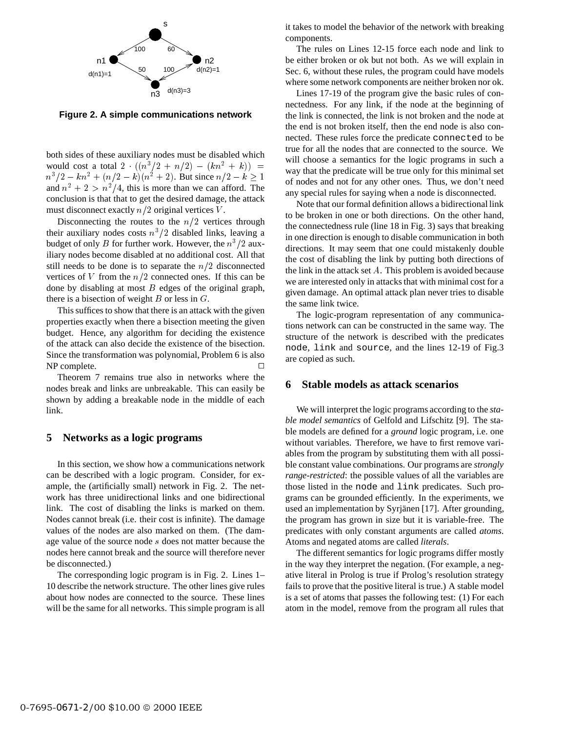

**Figure 2. A simple communications network**

both sides of these auxiliary nodes must be disabled which would cost a total  $2 \cdot ((n^3/2 + n/2) - (kn^2 + k)) =$  $n^3/2 - kn^2 + (n/2 - k)(n^2 + 2)$ . But since  $n/2 - k \ge 1$ and  $n^2 + 2 > n^2/4$ , this is more than we can afford. The conclusion is that that to get the desired damage, the attack must disconnect exactly  $n/2$  original vertices V.

Disconnecting the routes to the  $n/2$  vertices through their auxiliary nodes costs  $n^3/2$  disabled links, leaving a budget of only B for further work. However, the  $n^3/2$  auxiliary nodes become disabled at no additional cost. All that still needs to be done is to separate the  $n/2$  disconnected vertices of V from the  $n/2$  connected ones. If this can be done by disabling at most  $B$  edges of the original graph, there is a bisection of weight  $B$  or less in  $G$ .

This suffices to show that there is an attack with the given properties exactly when there a bisection meeting the given budget. Hence, any algorithm for deciding the existence of the attack can also decide the existence of the bisection. Since the transformation was polynomial, Problem 6 is also NP complete.

Theorem 7 remains true also in networks where the nodes break and links are unbreakable. This can easily be shown by adding a breakable node in the middle of each link.

#### **5 Networks as a logic programs**

In this section, we show how a communications network can be described with a logic program. Consider, for example, the (artificially small) network in Fig. 2. The network has three unidirectional links and one bidirectional link. The cost of disabling the links is marked on them. Nodes cannot break (i.e. their cost is infinite). The damage values of the nodes are also marked on them. (The damage value of the source node <sup>s</sup> does not matter because the nodes here cannot break and the source will therefore never be disconnected.)

The corresponding logic program is in Fig. 2. Lines 1– 10 describe the network structure. The other lines give rules about how nodes are connected to the source. These lines will be the same for all networks. This simple program is all it takes to model the behavior of the network with breaking components.

The rules on Lines 12-15 force each node and link to be either broken or ok but not both. As we will explain in Sec. 6, without these rules, the program could have models where some network components are neither broken nor ok.

Lines 17-19 of the program give the basic rules of connectedness. For any link, if the node at the beginning of the link is connected, the link is not broken and the node at the end is not broken itself, then the end node is also connected. These rules force the predicate connected to be true for all the nodes that are connected to the source. We will choose a semantics for the logic programs in such a way that the predicate will be true only for this minimal set of nodes and not for any other ones. Thus, we don't need any special rules for saying when a node is disconnected.

Note that our formal definition allows a bidirectional link to be broken in one or both directions. On the other hand, the connectedness rule (line 18 in Fig. 3) says that breaking in one direction is enough to disable communication in both directions. It may seem that one could mistakenly double the cost of disabling the link by putting both directions of the link in the attack set <sup>A</sup>. This problem is avoided because we are interested only in attacks that with minimal cost for a given damage. An optimal attack plan never tries to disable the same link twice.

The logic-program representation of any communications network can can be constructed in the same way. The structure of the network is described with the predicates node, link and source, and the lines 12-19 of Fig.3 are copied as such.

## **6 Stable models as attack scenarios**

We will interpret the logic programs according to the *stable model semantics* of Gelfold and Lifschitz [9]. The stable models are defined for a *ground* logic program, i.e. one without variables. Therefore, we have to first remove variables from the program by substituting them with all possible constant value combinations. Our programs are *strongly range-restricted*: the possible values of all the variables are those listed in the node and link predicates. Such programs can be grounded efficiently. In the experiments, we used an implementation by Syrjänen [17]. After grounding, the program has grown in size but it is variable-free. The predicates with only constant arguments are called *atoms*. Atoms and negated atoms are called *literals*.

The different semantics for logic programs differ mostly in the way they interpret the negation. (For example, a negative literal in Prolog is true if Prolog's resolution strategy fails to prove that the positive literal is true.) A stable model is a set of atoms that passes the following test: (1) For each atom in the model, remove from the program all rules that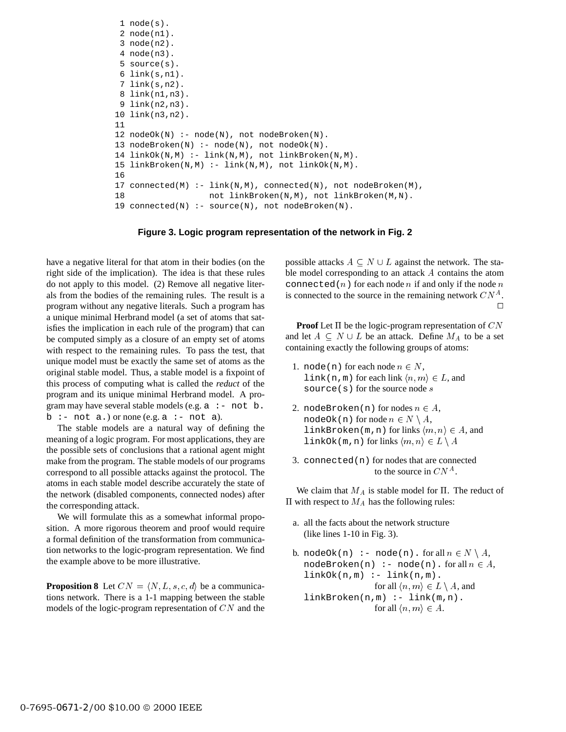```
1 node(s).
2 node(n1).
3 node(n2).
4 node(n3).
5 source(s).
6 link(s,n1).
7 link(s,n2).
8 link(n1,n3).
9 link(n2,n3).
10 link(n3,n2).
11
12 nodeOk(N) :- node(N), not nodeBroken(N).
13 nodeBroken(N) :- node(N), not nodeOk(N).
14 linkOk(N,M) :- link(N,M), not linkBroken(N,M).
15 linkBroken(N,M) :- link(N,M), not linkOk(N,M).
16
17 connected(M) :- link(N,M), connected(N), not nodeBroken(M),
18 not linkBroken(N,M), not linkBroken(M,N).
19 connected(N) :- source(N), not nodeBroken(N).
```
#### **Figure 3. Logic program representation of the network in Fig. 2**

have a negative literal for that atom in their bodies (on the right side of the implication). The idea is that these rules do not apply to this model. (2) Remove all negative literals from the bodies of the remaining rules. The result is a program without any negative literals. Such a program has a unique minimal Herbrand model (a set of atoms that satisfies the implication in each rule of the program) that can be computed simply as a closure of an empty set of atoms with respect to the remaining rules. To pass the test, that unique model must be exactly the same set of atoms as the original stable model. Thus, a stable model is a fixpoint of this process of computing what is called the *reduct* of the program and its unique minimal Herbrand model. A program may have several stable models (e.g.  $a : - \text{not } b$ . b :- not  $a$ .) or none (e.g.  $a$  :- not  $a$ ).

The stable models are a natural way of defining the meaning of a logic program. For most applications, they are the possible sets of conclusions that a rational agent might make from the program. The stable models of our programs correspond to all possible attacks against the protocol. The atoms in each stable model describe accurately the state of the network (disabled components, connected nodes) after the corresponding attack.

We will formulate this as a somewhat informal proposition. A more rigorous theorem and proof would require a formal definition of the transformation from communication networks to the logic-program representation. We find the example above to be more illustrative.

**Proposition 8** Let  $CN = \langle N, L, s, c, d \rangle$  be a communications network. There is a 1-1 mapping between the stable models of the logic-program representation of  $CN$  and the possible attacks  $A \subseteq N \cup L$  against the network. The stable model corresponding to an attack A contains the atom connected  $(n)$  for each node n if and only if the node n is connected to the source in the remaining network  $CN^{A}$ .  $\Box$ 

**Proof** Let  $\Pi$  be the logic-program representation of  $CN$ and let  $A \subseteq N \cup L$  be an attack. Define  $M_A$  to be a set containing exactly the following groups of atoms:

- 1. node(n) for each node  $n \in N$ ,  $link(n, m)$  for each link  $\langle n, m \rangle \in L$ , and source(s) for the source node s
- 2. nodeBroken(n) for nodes  $n \in A$ , nodeOk(n) for node  $n \in N \setminus A$ , linkBroken(m, n) for links  $\langle m, n \rangle \in A$ , and linkOk(m,n) for links  $\langle m, n \rangle \in L \setminus A$
- 3. connected(n) for nodes that are connected to the source in  $CN^A$ .

We claim that  $M_A$  is stable model for  $\Pi$ . The reduct of  $\Pi$  with respect to  $M_A$  has the following rules:

a. all the facts about the network structure (like lines 1-10 in Fig. 3).

```
b. nodeOk(n) :- node(n). for all n \in N \setminus A,
   nodeBreken(n) :- node(n). for all n \in A,
   linkOk(n,m) :- link(n,m).for all \langle n, m \rangle \in L \setminus A, and
   linkBroken(n,m) :- link(m,n).
                      for all \langle n, m \rangle \in A.
```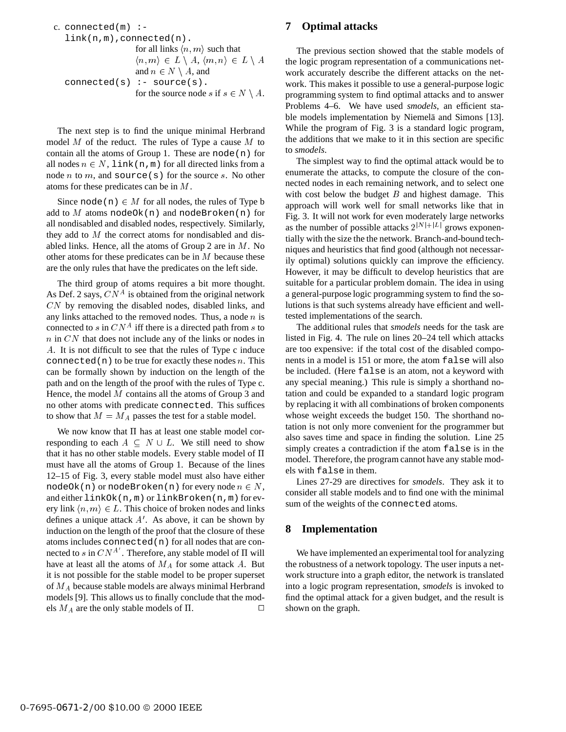```
c. connected(m) :-
   link(n,m),connected(n).
                          for all links \langle n, m \rangle such that
                           \langle n,m \rangle \in L \setminus A, \langle m,n \rangle \in L \setminus Aand n \in N \setminus A, and
   connected(s) :- source(s).
                           for the source node s if s \in N \setminus A.
```
The next step is to find the unique minimal Herbrand model  $M$  of the reduct. The rules of Type a cause  $M$  to contain all the atoms of Group 1. These are node  $(n)$  for all nodes  $n \in N$ , link(n,m) for all directed links from a node *n* to *m*, and source(s) for the source *s*. No other atoms for these predicates can be in M.

Since node(n)  $\in M$  for all nodes, the rules of Type b add to M atoms nodeOk(n) and nodeBroken(n) for all nondisabled and disabled nodes, respectively. Similarly, they add to  $M$  the correct atoms for nondisabled and disabled links. Hence, all the atoms of Group 2 are in M. No other atoms for these predicates can be in  $M$  because these are the only rules that have the predicates on the left side.

The third group of atoms requires a bit more thought. As Def. 2 says,  $CN<sup>A</sup>$  is obtained from the original network  $CN$  by removing the disabled nodes, disabled links, and any links attached to the removed nodes. Thus, a node  $n$  is connected to s in  $CN^A$  iff there is a directed path from s to n in CN that does not include any of the links or nodes in A. It is not difficult to see that the rules of Type c induce connected  $(n)$  to be true for exactly these nodes n. This can be formally shown by induction on the length of the path and on the length of the proof with the rules of Type c. Hence, the model <sup>M</sup> contains all the atoms of Group 3 and no other atoms with predicate connected. This suffices to show that  $M = M_A$  passes the test for a stable model.

We now know that  $\Pi$  has at least one stable model corresponding to each  $A \subseteq N \cup L$ . We still need to show that it has no other stable models. Every stable model of  $\Pi$ must have all the atoms of Group 1. Because of the lines 12–15 of Fig. 3, every stable model must also have either nodeOk(n) or nodeBroken(n) for every node  $n \in N$ , and either linkOk(n,m) or linkBroken(n,m) for every link  $\langle n, m \rangle \in L$ . This choice of broken nodes and links defines a unique attack  $A'$ . As above, it can be shown by induction on the length of the proof that the closure of these atoms includes connected(n) for all nodes that are connected to s in  $CN^{A'}$ . Therefore, any stable model of  $\Pi$  will have at least all the atoms of  $M_A$  for some attack A. But it is not possible for the stable model to be proper superset of  $M_A$  because stable models are always minimal Herbrand models [9]. This allows us to finally conclude that the models  $M_A$  are the only stable models of  $\Pi$ .

## **7 Optimal attacks**

The previous section showed that the stable models of the logic program representation of a communications network accurately describe the different attacks on the network. This makes it possible to use a general-purpose logic programming system to find optimal attacks and to answer Problems 4–6. We have used *smodels*, an efficient stable models implementation by Niemelä and Simons [13]. While the program of Fig. 3 is a standard logic program, the additions that we make to it in this section are specific to *smodels*.

The simplest way to find the optimal attack would be to enumerate the attacks, to compute the closure of the connected nodes in each remaining network, and to select one with cost below the budget  $B$  and highest damage. This approach will work well for small networks like that in Fig. 3. It will not work for even moderately large networks as the number of possible attacks  $2^{|N|+|L|}$  grows exponentially with the size the the network. Branch-and-bound techniques and heuristics that find good (although not necessarily optimal) solutions quickly can improve the efficiency. However, it may be difficult to develop heuristics that are suitable for a particular problem domain. The idea in using a general-purpose logic programming system to find the solutions is that such systems already have efficient and welltested implementations of the search.

The additional rules that *smodels* needs for the task are listed in Fig. 4. The rule on lines 20–24 tell which attacks are too expensive: if the total cost of the disabled components in a model is 151 or more, the atom false will also be included. (Here false is an atom, not a keyword with any special meaning.) This rule is simply a shorthand notation and could be expanded to a standard logic program by replacing it with all combinations of broken components whose weight exceeds the budget 150. The shorthand notation is not only more convenient for the programmer but also saves time and space in finding the solution. Line 25 simply creates a contradiction if the atom false is in the model. Therefore, the program cannot have any stable models with false in them.

Lines 27-29 are directives for *smodels*. They ask it to consider all stable models and to find one with the minimal sum of the weights of the connected atoms.

## **8 Implementation**

We have implemented an experimental tool for analyzing the robustness of a network topology. The user inputs a network structure into a graph editor, the network is translated into a logic program representation, *smodels* is invoked to find the optimal attack for a given budget, and the result is shown on the graph.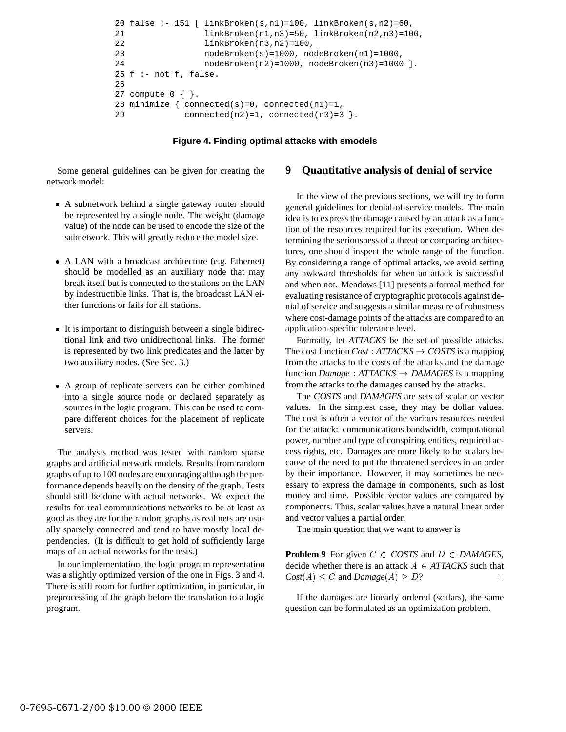```
20 false :- 151 [ linkBroken(s,n1)=100, linkBroken(s,n2)=60,
21 linkBroken(n1,n3)=50, linkBroken(n2,n3)=100,
22 linkBroken(n3,n2)=100,
23 nodeBroken(s)=1000, nodeBroken(n1)=1000,
24 nodeBroken(n2)=1000, nodeBroken(n3)=1000 ].
25 f :- not f, false.
26
27 compute 0 { }.
28 minimize \{ \text{connected}(s) = 0, \text{ connected}(n1) = 1, \}29 connected(n2)=1, connected(n3)=3 .
```
## **Figure 4. Finding optimal attacks with smodels**

Some general guidelines can be given for creating the network model:

- A subnetwork behind a single gateway router should be represented by a single node. The weight (damage value) of the node can be used to encode the size of the subnetwork. This will greatly reduce the model size.
- A LAN with a broadcast architecture (e.g. Ethernet) should be modelled as an auxiliary node that may break itself but is connected to the stations on the LAN by indestructible links. That is, the broadcast LAN either functions or fails for all stations.
- It is important to distinguish between a single bidirectional link and two unidirectional links. The former is represented by two link predicates and the latter by two auxiliary nodes. (See Sec. 3.)
- A group of replicate servers can be either combined into a single source node or declared separately as sources in the logic program. This can be used to compare different choices for the placement of replicate servers.

The analysis method was tested with random sparse graphs and artificial network models. Results from random graphs of up to 100 nodes are encouraging although the performance depends heavily on the density of the graph. Tests should still be done with actual networks. We expect the results for real communications networks to be at least as good as they are for the random graphs as real nets are usually sparsely connected and tend to have mostly local dependencies. (It is difficult to get hold of sufficiently large maps of an actual networks for the tests.)

In our implementation, the logic program representation was a slightly optimized version of the one in Figs. 3 and 4. There is still room for further optimization, in particular, in preprocessing of the graph before the translation to a logic program.

#### **9 Quantitative analysis of denial of service**

In the view of the previous sections, we will try to form general guidelines for denial-of-service models. The main idea is to express the damage caused by an attack as a function of the resources required for its execution. When determining the seriousness of a threat or comparing architectures, one should inspect the whole range of the function. By considering a range of optimal attacks, we avoid setting any awkward thresholds for when an attack is successful and when not. Meadows [11] presents a formal method for evaluating resistance of cryptographic protocols against denial of service and suggests a similar measure of robustness where cost-damage points of the attacks are compared to an application-specific tolerance level.

Formally, let *ATTACKS* be the set of possible attacks. The cost function  $Cost : ATTACKS \rightarrow COSTS$  is a mapping from the attacks to the costs of the attacks and the damage function *Damage* :  $ATTACKS \rightarrow DAMAGES$  is a mapping from the attacks to the damages caused by the attacks.

The *COSTS* and *DAMAGES* are sets of scalar or vector values. In the simplest case, they may be dollar values. The cost is often a vector of the various resources needed for the attack: communications bandwidth, computational power, number and type of conspiring entities, required access rights, etc. Damages are more likely to be scalars because of the need to put the threatened services in an order by their importance. However, it may sometimes be necessary to express the damage in components, such as lost money and time. Possible vector values are compared by components. Thus, scalar values have a natural linear order and vector values a partial order.

The main question that we want to answer is

**Problem 9** For given  $C \in COSTS$  and  $D \in DAMAGES$ , decide whether there is an attack  $A \in ATTACKS$  such that  $Cost(A) < C$  and  $Damage(A) > D$ ?

If the damages are linearly ordered (scalars), the same question can be formulated as an optimization problem.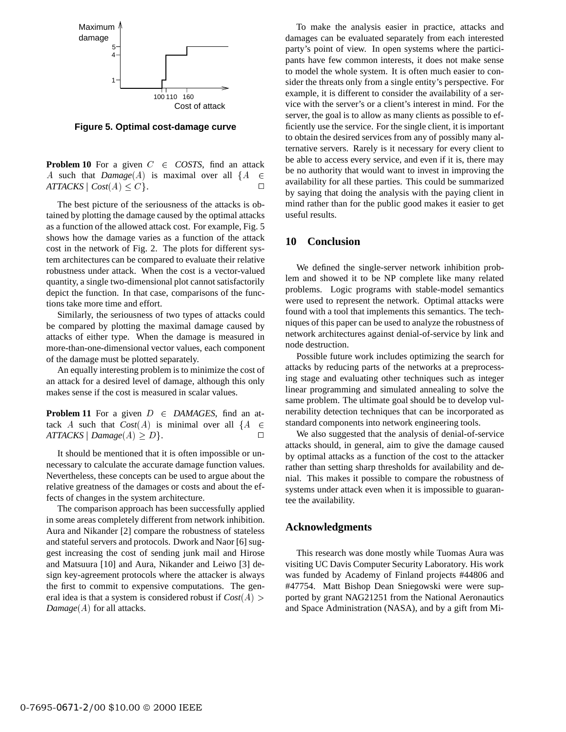

**Figure 5. Optimal cost-damage curve**

**Problem 10** For a given  $C \in \text{COSTS}$ , find an attack A such that  $Damage(A)$  is maximal over all  $\{A \in$  $ATTACKS \mid Cost(A) \leq C$ .

The best picture of the seriousness of the attacks is obtained by plotting the damage caused by the optimal attacks as a function of the allowed attack cost. For example, Fig. 5 shows how the damage varies as a function of the attack cost in the network of Fig. 2. The plots for different system architectures can be compared to evaluate their relative robustness under attack. When the cost is a vector-valued quantity, a single two-dimensional plot cannot satisfactorily depict the function. In that case, comparisons of the functions take more time and effort.

Similarly, the seriousness of two types of attacks could be compared by plotting the maximal damage caused by attacks of either type. When the damage is measured in more-than-one-dimensional vector values, each component of the damage must be plotted separately.

An equally interesting problem is to minimize the cost of an attack for a desired level of damage, although this only makes sense if the cost is measured in scalar values.

**Problem 11** For a given  $D \in DAMAGES$ , find an attack A such that  $Cost(A)$  is minimal over all  $\{A \in$  $ATTACKS | Damage(A) \ge D$ .

It should be mentioned that it is often impossible or unnecessary to calculate the accurate damage function values. Nevertheless, these concepts can be used to argue about the relative greatness of the damages or costs and about the effects of changes in the system architecture.

The comparison approach has been successfully applied in some areas completely different from network inhibition. Aura and Nikander [2] compare the robustness of stateless and stateful servers and protocols. Dwork and Naor [6] suggest increasing the cost of sending junk mail and Hirose and Matsuura [10] and Aura, Nikander and Leiwo [3] design key-agreement protocols where the attacker is always the first to commit to expensive computations. The general idea is that a system is considered robust if  $Cost(A)$ *Damage*(*A*) for all attacks.

To make the analysis easier in practice, attacks and damages can be evaluated separately from each interested party's point of view. In open systems where the participants have few common interests, it does not make sense to model the whole system. It is often much easier to consider the threats only from a single entity's perspective. For example, it is different to consider the availability of a service with the server's or a client's interest in mind. For the server, the goal is to allow as many clients as possible to efficiently use the service. For the single client, it is important to obtain the desired services from any of possibly many alternative servers. Rarely is it necessary for every client to be able to access every service, and even if it is, there may be no authority that would want to invest in improving the availability for all these parties. This could be summarized by saying that doing the analysis with the paying client in mind rather than for the public good makes it easier to get useful results.

## **10 Conclusion**

We defined the single-server network inhibition problem and showed it to be NP complete like many related problems. Logic programs with stable-model semantics were used to represent the network. Optimal attacks were found with a tool that implements this semantics. The techniques of this paper can be used to analyze the robustness of network architectures against denial-of-service by link and node destruction.

Possible future work includes optimizing the search for attacks by reducing parts of the networks at a preprocessing stage and evaluating other techniques such as integer linear programming and simulated annealing to solve the same problem. The ultimate goal should be to develop vulnerability detection techniques that can be incorporated as standard components into network engineering tools.

We also suggested that the analysis of denial-of-service attacks should, in general, aim to give the damage caused by optimal attacks as a function of the cost to the attacker rather than setting sharp thresholds for availability and denial. This makes it possible to compare the robustness of systems under attack even when it is impossible to guarantee the availability.

## **Acknowledgments**

This research was done mostly while Tuomas Aura was visiting UC Davis Computer Security Laboratory. His work was funded by Academy of Finland projects #44806 and #47754. Matt Bishop Dean Sniegowski were were supported by grant NAG21251 from the National Aeronautics and Space Administration (NASA), and by a gift from Mi-